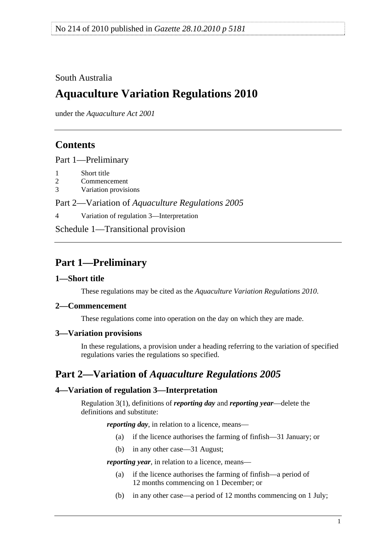### <span id="page-0-0"></span>South Australia

# **Aquaculture Variation Regulations 2010**

under the *Aquaculture Act 2001*

## **Contents**

[Part 1—Preliminary](#page-0-0)

- [1 Short title](#page-0-0)
- [2 Commencement](#page-0-0)
- [3 Variation provisions](#page-0-0)

Part 2—Variation of *[Aquaculture Regulations 2005](#page-0-0)*

[4 Variation of regulation 3—Interpretation](#page-0-0) 

[Schedule 1—Transitional provision](#page-1-0)

# **Part 1—Preliminary**

### **1—Short title**

These regulations may be cited as the *Aquaculture Variation Regulations 2010*.

#### **2—Commencement**

These regulations come into operation on the day on which they are made.

#### **3—Variation provisions**

In these regulations, a provision under a heading referring to the variation of specified regulations varies the regulations so specified.

### **Part 2—Variation of** *Aquaculture Regulations 2005*

### **4—Variation of regulation 3—Interpretation**

Regulation 3(1), definitions of *reporting day* and *reporting year*—delete the definitions and substitute:

*reporting day*, in relation to a licence, means—

- (a) if the licence authorises the farming of finfish—31 January; or
- (b) in any other case—31 August;

*reporting year*, in relation to a licence, means—

- (a) if the licence authorises the farming of finfish—a period of 12 months commencing on 1 December; or
- (b) in any other case—a period of 12 months commencing on 1 July;